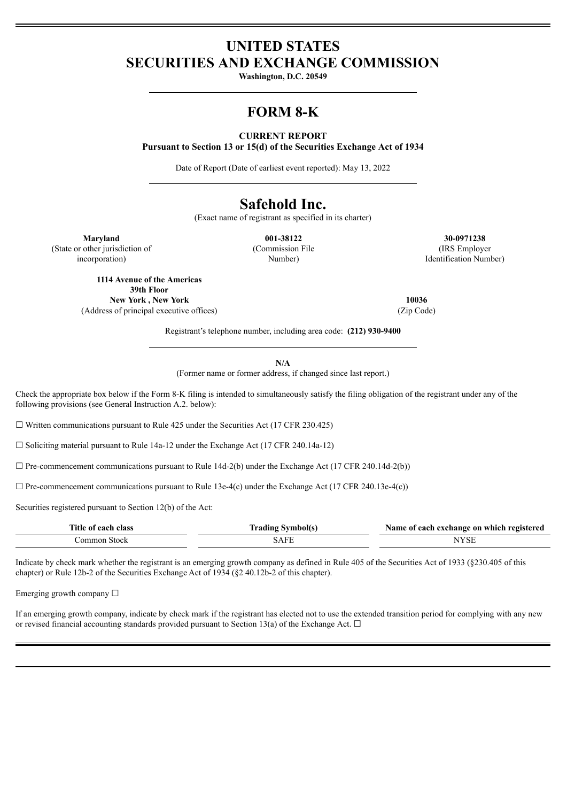## **UNITED STATES SECURITIES AND EXCHANGE COMMISSION**

**Washington, D.C. 20549**

# **FORM 8-K**

### **CURRENT REPORT**

**Pursuant to Section 13 or 15(d) of the Securities Exchange Act of 1934**

Date of Report (Date of earliest event reported): May 13, 2022

# **Safehold Inc.**

(Exact name of registrant as specified in its charter)

(Commission File Number)

**Maryland 001-38122 30-0971238** (IRS Employer Identification Number)

(State or other jurisdiction of incorporation)

> **1114 Avenue of the Americas 39th Floor New York , New York 10036** (Address of principal executive offices) (Zip Code)

Registrant's telephone number, including area code: **(212) 930-9400**

**N/A**

(Former name or former address, if changed since last report.)

Check the appropriate box below if the Form 8-K filing is intended to simultaneously satisfy the filing obligation of the registrant under any of the following provisions (see General Instruction A.2. below):

 $\Box$  Written communications pursuant to Rule 425 under the Securities Act (17 CFR 230.425)

☐ Soliciting material pursuant to Rule 14a-12 under the Exchange Act (17 CFR 240.14a-12)

 $\Box$  Pre-commencement communications pursuant to Rule 14d-2(b) under the Exchange Act (17 CFR 240.14d-2(b))

 $\Box$  Pre-commencement communications pursuant to Rule 13e-4(c) under the Exchange Act (17 CFR 240.13e-4(c))

Securities registered pursuant to Section 12(b) of the Act:

| Title of each class | <b>Trading Symbol</b> (s) | Name of each exchange on which registered |
|---------------------|---------------------------|-------------------------------------------|
| Jommon Stock        | .5AF                      | $\cdot$                                   |

Indicate by check mark whether the registrant is an emerging growth company as defined in Rule 405 of the Securities Act of 1933 (§230.405 of this chapter) or Rule 12b-2 of the Securities Exchange Act of 1934 (§2 40.12b-2 of this chapter).

Emerging growth company  $\Box$ 

If an emerging growth company, indicate by check mark if the registrant has elected not to use the extended transition period for complying with any new or revised financial accounting standards provided pursuant to Section 13(a) of the Exchange Act.  $\Box$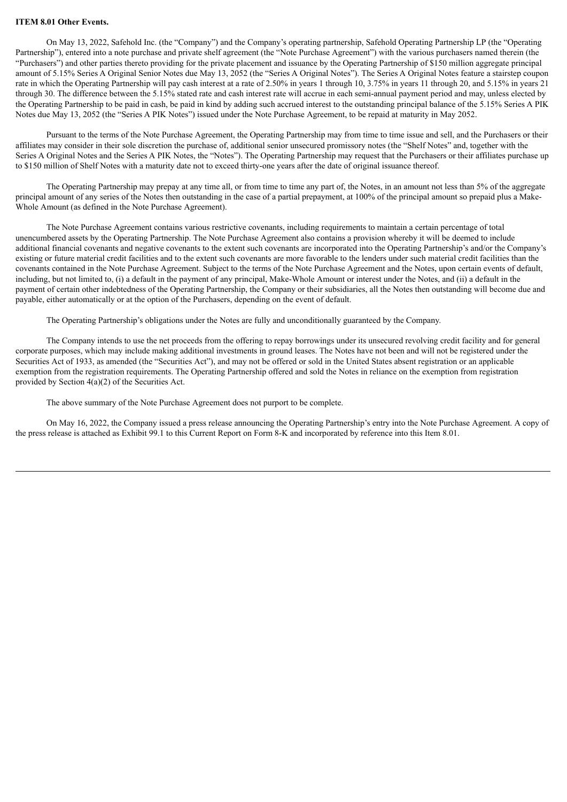#### **ITEM 8.01 Other Events.**

On May 13, 2022, Safehold Inc. (the "Company") and the Company's operating partnership, Safehold Operating Partnership LP (the "Operating Partnership"), entered into a note purchase and private shelf agreement (the "Note Purchase Agreement") with the various purchasers named therein (the "Purchasers") and other parties thereto providing for the private placement and issuance by the Operating Partnership of \$150 million aggregate principal amount of 5.15% Series A Original Senior Notes due May 13, 2052 (the "Series A Original Notes"). The Series A Original Notes feature a stairstep coupon rate in which the Operating Partnership will pay cash interest at a rate of 2.50% in years 1 through 10, 3.75% in years 11 through 20, and 5.15% in years 21 through 30. The difference between the 5.15% stated rate and cash interest rate will accrue in each semi-annual payment period and may, unless elected by the Operating Partnership to be paid in cash, be paid in kind by adding such accrued interest to the outstanding principal balance of the 5.15% Series A PIK Notes due May 13, 2052 (the "Series A PIK Notes") issued under the Note Purchase Agreement, to be repaid at maturity in May 2052.

Pursuant to the terms of the Note Purchase Agreement, the Operating Partnership may from time to time issue and sell, and the Purchasers or their affiliates may consider in their sole discretion the purchase of, additional senior unsecured promissory notes (the "Shelf Notes" and, together with the Series A Original Notes and the Series A PIK Notes, the "Notes"). The Operating Partnership may request that the Purchasers or their affiliates purchase up to \$150 million of Shelf Notes with a maturity date not to exceed thirty-one years after the date of original issuance thereof.

The Operating Partnership may prepay at any time all, or from time to time any part of, the Notes, in an amount not less than 5% of the aggregate principal amount of any series of the Notes then outstanding in the case of a partial prepayment, at 100% of the principal amount so prepaid plus a Make-Whole Amount (as defined in the Note Purchase Agreement).

The Note Purchase Agreement contains various restrictive covenants, including requirements to maintain a certain percentage of total unencumbered assets by the Operating Partnership. The Note Purchase Agreement also contains a provision whereby it will be deemed to include additional financial covenants and negative covenants to the extent such covenants are incorporated into the Operating Partnership's and/or the Company's existing or future material credit facilities and to the extent such covenants are more favorable to the lenders under such material credit facilities than the covenants contained in the Note Purchase Agreement. Subject to the terms of the Note Purchase Agreement and the Notes, upon certain events of default, including, but not limited to, (i) a default in the payment of any principal, Make-Whole Amount or interest under the Notes, and (ii) a default in the payment of certain other indebtedness of the Operating Partnership, the Company or their subsidiaries, all the Notes then outstanding will become due and payable, either automatically or at the option of the Purchasers, depending on the event of default.

The Operating Partnership's obligations under the Notes are fully and unconditionally guaranteed by the Company.

The Company intends to use the net proceeds from the offering to repay borrowings under its unsecured revolving credit facility and for general corporate purposes, which may include making additional investments in ground leases. The Notes have not been and will not be registered under the Securities Act of 1933, as amended (the "Securities Act"), and may not be offered or sold in the United States absent registration or an applicable exemption from the registration requirements. The Operating Partnership offered and sold the Notes in reliance on the exemption from registration provided by Section 4(a)(2) of the Securities Act.

The above summary of the Note Purchase Agreement does not purport to be complete.

On May 16, 2022, the Company issued a press release announcing the Operating Partnership's entry into the Note Purchase Agreement. A copy of the press release is attached as Exhibit 99.1 to this Current Report on Form 8-K and incorporated by reference into this Item 8.01.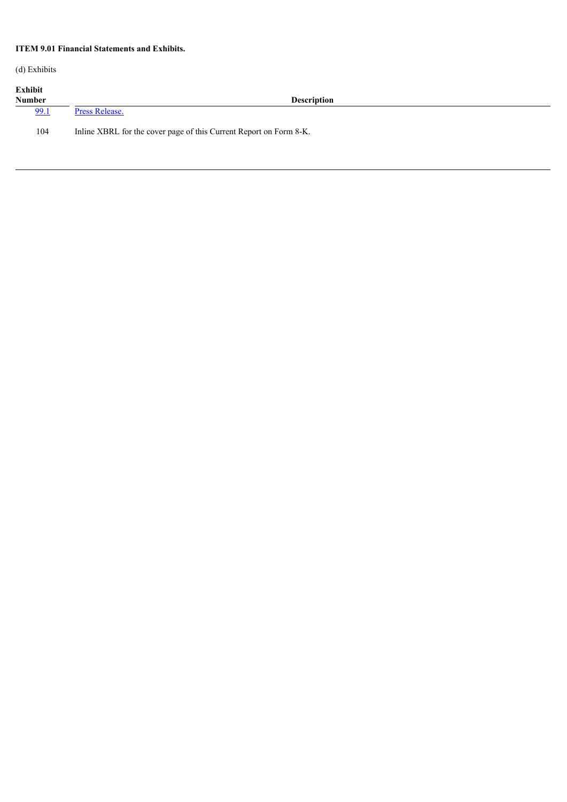## **ITEM 9.01 Financial Statements and Exhibits.**

(d) Exhibits

| Exhibit |  |
|---------|--|
|---------|--|

| елшин<br><b>Number</b> | <b>Description</b>                                                 |
|------------------------|--------------------------------------------------------------------|
| <u>99.1</u>            | Press Release.                                                     |
| 104                    | Inline XBRL for the cover page of this Current Report on Form 8-K. |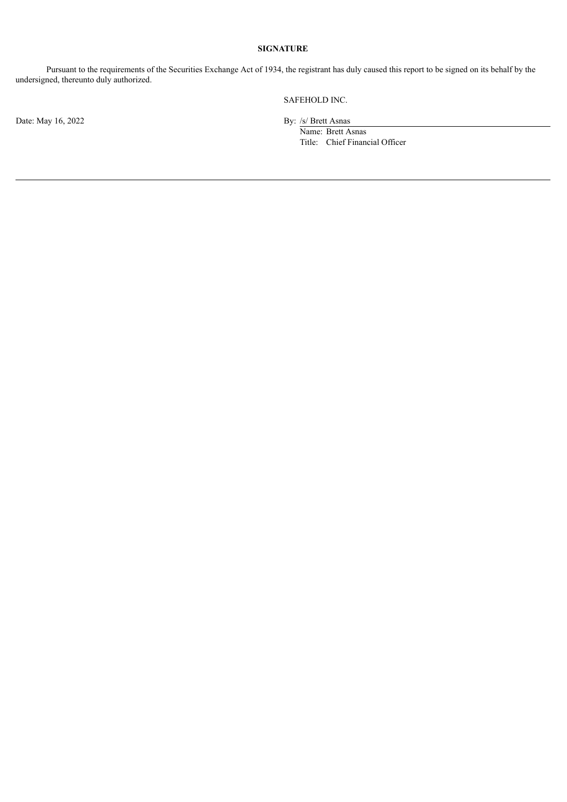## **SIGNATURE**

Pursuant to the requirements of the Securities Exchange Act of 1934, the registrant has duly caused this report to be signed on its behalf by the undersigned, thereunto duly authorized.

Date: May 16, 2022 By: /s/ Brett Asnas

SAFEHOLD INC.

Name: Brett Asnas Title: Chief Financial Officer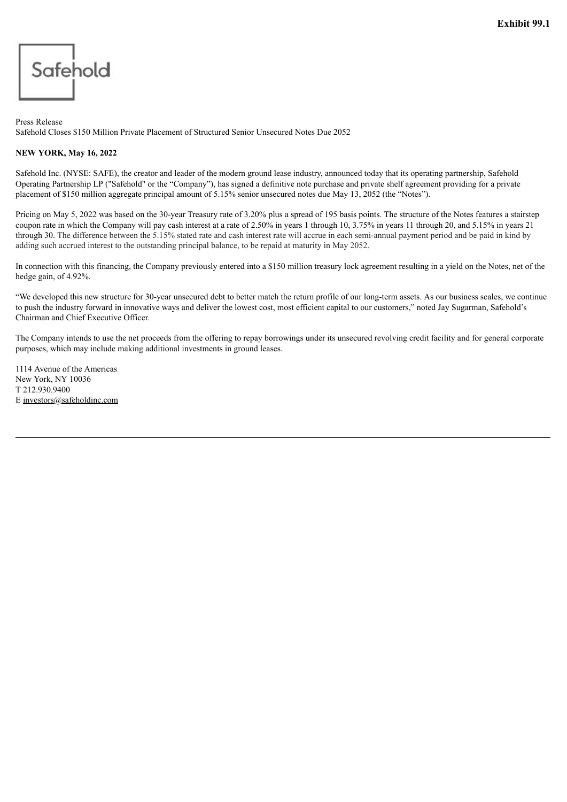<span id="page-4-0"></span>

Press Release Safehold Closes \$150 Million Private Placement of Structured Senior Unsecured Notes Due 2052

## **NEW YORK, May 16, 2022**

Safehold Inc. (NYSE: SAFE), the creator and leader of the modern ground lease industry, announced today that its operating partnership, Safehold Operating Partnership LP ("Safehold" or the "Company"), has signed a definitive note purchase and private shelf agreement providing for a private placement of \$150 million aggregate principal amount of 5.15% senior unsecured notes due May 13, 2052 (the "Notes").

Pricing on May 5, 2022 was based on the 30-year Treasury rate of 3.20% plus a spread of 195 basis points. The structure of the Notes features a stairstep coupon rate in which the Company will pay cash interest at a rate of 2.50% in years 1 through 10, 3.75% in years 11 through 20, and 5.15% in years 21 through 30. The difference between the 5.15% stated rate and cash interest rate will accrue in each semi-annual payment period and be paid in kind by adding such accrued interest to the outstanding principal balance, to be repaid at maturity in May 2052.

In connection with this financing, the Company previously entered into a \$150 million treasury lock agreement resulting in a yield on the Notes, net of the hedge gain, of 4.92%.

"We developed this new structure for 30-year unsecured debt to better match the return profile of our long-term assets. As our business scales, we continue to push the industry forward in innovative ways and deliver the lowest cost, most efficient capital to our customers," noted Jay Sugarman, Safehold's Chairman and Chief Executive Officer.

The Company intends to use the net proceeds from the offering to repay borrowings under its unsecured revolving credit facility and for general corporate purposes, which may include making additional investments in ground leases.

1114 Avenue of the Americas New York, NY 10036 T 212.930.9400 E investors@safeholdinc.com